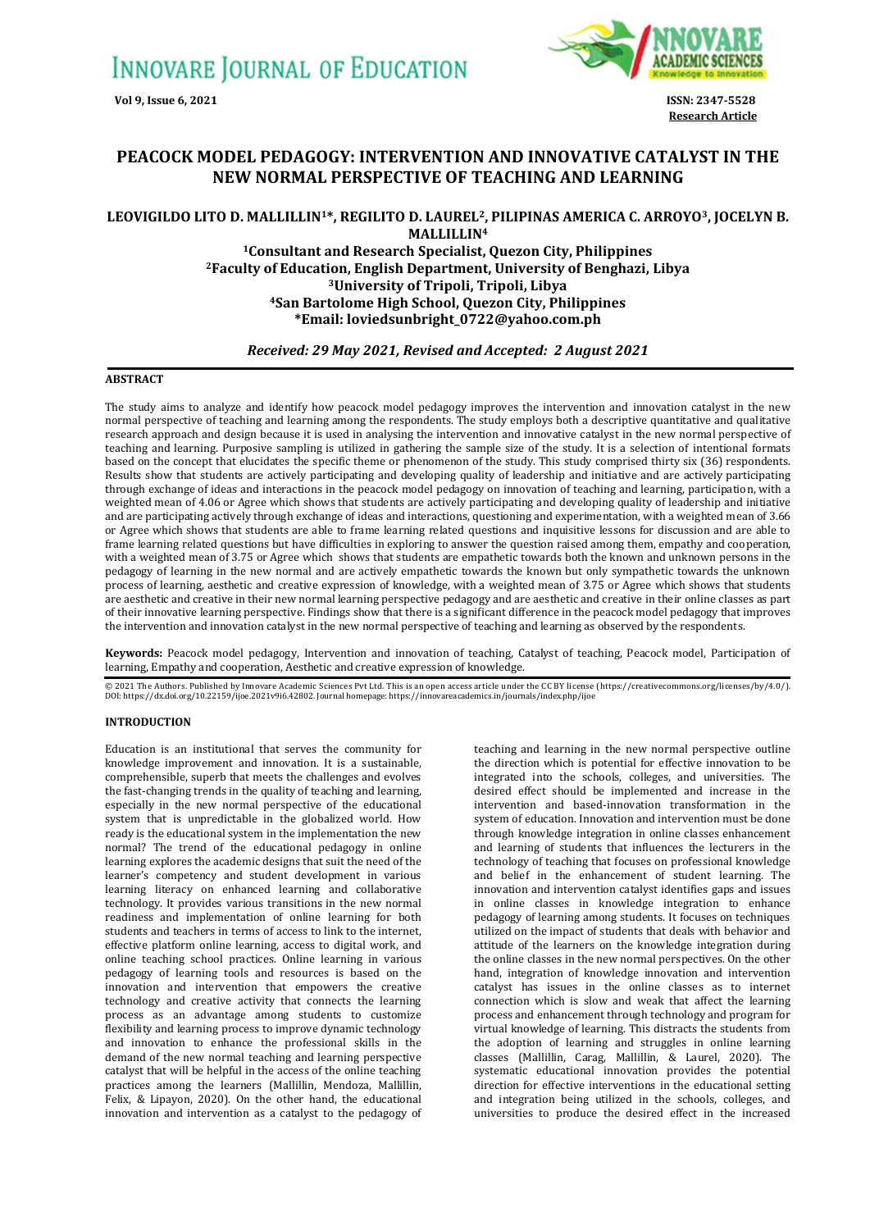

**Research Article**

# **PEACOCK MODEL PEDAGOGY: INTERVENTION AND INNOVATIVE CATALYST IN THE NEW NORMAL PERSPECTIVE OF TEACHING AND LEARNING**

# **LEOVIGILDO LITO D. MALLILLIN1\*, REGILITO D. LAUREL2, PILIPINAS AMERICA C. ARROYO3, JOCELYN B. MALLILLIN<sup>4</sup>**

**Consultant and Research Specialist, Quezon City, Philippines Faculty of Education, English Department, University of Benghazi, Libya University of Tripoli, Tripoli, Libya San Bartolome High School, Quezon City, Philippines \*Email[: loviedsunbright\\_0722@yahoo.com.ph](mailto:loviedsunbright_0722@yahoo.com.ph)**

# *Received: 29 May 2021, Revised and Accepted: 2 August 2021*

### **ABSTRACT**

The study aims to analyze and identify how peacock model pedagogy improves the intervention and innovation catalyst in the new normal perspective of teaching and learning among the respondents. The study employs both a descriptive quantitative and qualitative research approach and design because it is used in analysing the intervention and innovative catalyst in the new normal perspective of teaching and learning. Purposive sampling is utilized in gathering the sample size of the study. It is a selection of intentional formats based on the concept that elucidates the specific theme or phenomenon of the study. This study comprised thirty six (36) respondents. Results show that students are actively participating and developing quality of leadership and initiative and are actively participating through exchange of ideas and interactions in the peacock model pedagogy on innovation of teaching and learning, participation, with a weighted mean of 4.06 or Agree which shows that students are actively participating and developing quality of leadership and initiative and are participating actively through exchange of ideas and interactions, questioning and experimentation, with a weighted mean of 3.66 or Agree which shows that students are able to frame learning related questions and inquisitive lessons for discussion and are able to frame learning related questions but have difficulties in exploring to answer the question raised among them, empathy and cooperation, with a weighted mean of 3.75 or Agree which shows that students are empathetic towards both the known and unknown persons in the pedagogy of learning in the new normal and are actively empathetic towards the known but only sympathetic towards the unknown process of learning, aesthetic and creative expression of knowledge, with a weighted mean of 3.75 or Agree which shows that students are aesthetic and creative in their new normal learning perspective pedagogy and are aesthetic and creative in their online classes as part of their innovative learning perspective. Findings show that there is a significant difference in the peacock model pedagogy that improves the intervention and innovation catalyst in the new normal perspective of teaching and learning as observed by the respondents.

**Keywords:** Peacock model pedagogy, Intervention and innovation of teaching, Catalyst of teaching, Peacock model, Participation of learning, Empathy and cooperation, Aesthetic and creative expression of knowledge.

© 2021 The Authors. Published by Innovare Academic Sciences Pvt Ltd. This is an open access article under the CC BY license [\(https://creativecommons.org/licenses/by/4.0/\)](https://creativecommons.org/licenses/by/4.0/). DOI[: https://dx.doi.org/10.22159/ijoe.2021v9i6.42802.](https://dx.doi.org/10.22159/ijoe.2021v9i6.42802) Journal homepage[: https://innovareacademics.in/journals/index.php/ijoe](https://innovareacademics.in/journals/index.php/ijoe)

## **INTRODUCTION**

Education is an institutional that serves the community for knowledge improvement and innovation. It is a sustainable, comprehensible, superb that meets the challenges and evolves the fast-changing trends in the quality of teaching and learning, especially in the new normal perspective of the educational system that is unpredictable in the globalized world. How ready is the educational system in the implementation the new normal? The trend of the educational pedagogy in online learning explores the academic designs that suit the need of the learner's competency and student development in various learning literacy on enhanced learning and collaborative technology. It provides various transitions in the new normal readiness and implementation of online learning for both students and teachers in terms of access to link to the internet, effective platform online learning, access to digital work, and online teaching school practices. Online learning in various pedagogy of learning tools and resources is based on the innovation and intervention that empowers the creative technology and creative activity that connects the learning process as an advantage among students to customize flexibility and learning process to improve dynamic technology and innovation to enhance the professional skills in the demand of the new normal teaching and learning perspective catalyst that will be helpful in the access of the online teaching practices among the learners (Mallillin, Mendoza, Mallillin, Felix, & Lipayon, 2020). On the other hand, the educational innovation and intervention as a catalyst to the pedagogy of

teaching and learning in the new normal perspective outline the direction which is potential for effective innovation to be integrated into the schools, colleges, and universities. The desired effect should be implemented and increase in the intervention and based-innovation transformation in the system of education. Innovation and intervention must be done through knowledge integration in online classes enhancement and learning of students that influences the lecturers in the technology of teaching that focuses on professional knowledge and belief in the enhancement of student learning. The innovation and intervention catalyst identifies gaps and issues in online classes in knowledge integration to enhance pedagogy of learning among students. It focuses on techniques utilized on the impact of students that deals with behavior and attitude of the learners on the knowledge integration during the online classes in the new normal perspectives. On the other hand, integration of knowledge innovation and intervention catalyst has issues in the online classes as to internet connection which is slow and weak that affect the learning process and enhancement through technology and program for virtual knowledge of learning. This distracts the students from the adoption of learning and struggles in online learning classes (Mallillin, Carag, Mallillin, & Laurel, 2020). The systematic educational innovation provides the potential direction for effective interventions in the educational setting and integration being utilized in the schools, colleges, and universities to produce the desired effect in the increased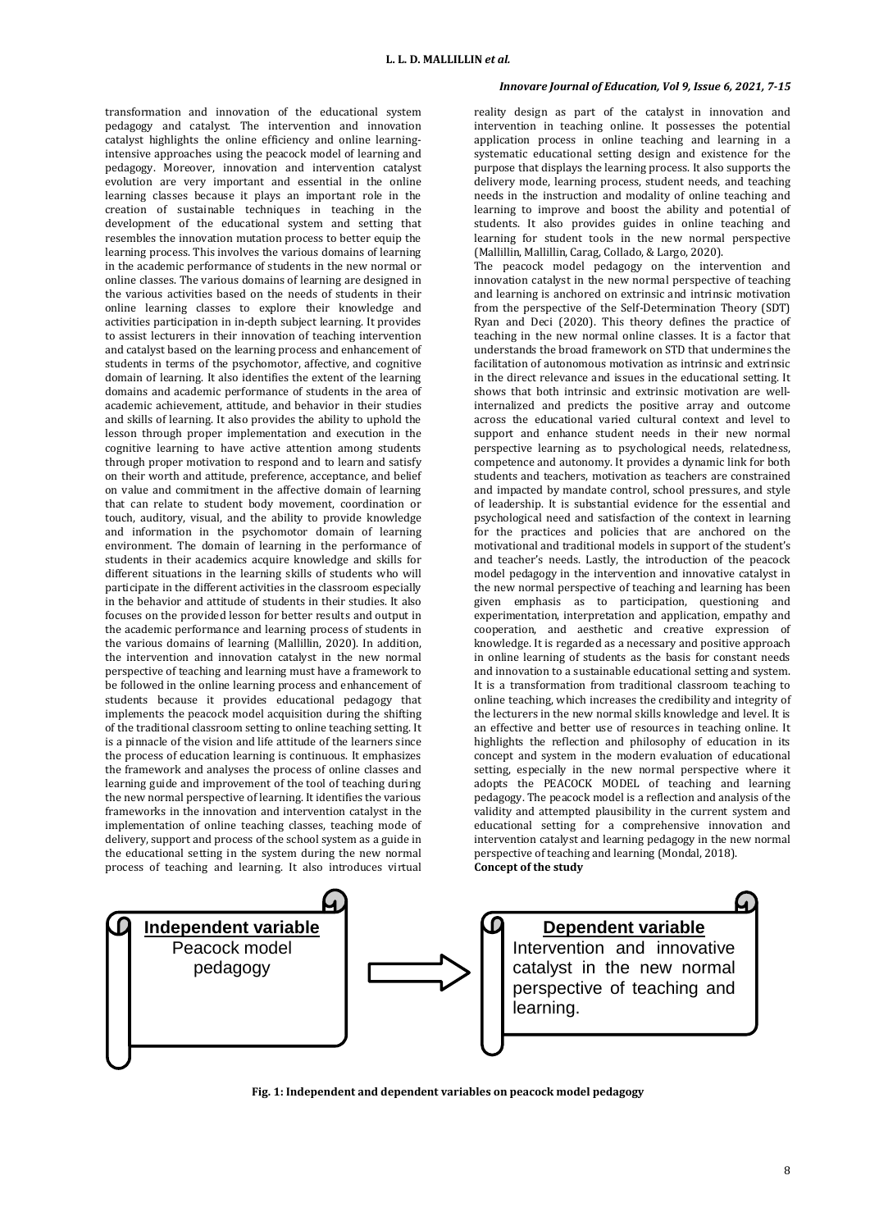transformation and innovation of the educational system pedagogy and catalyst. The intervention and innovation catalyst highlights the online efficiency and online learningintensive approaches using the peacock model of learning and pedagogy. Moreover, innovation and intervention catalyst evolution are very important and essential in the online learning classes because it plays an important role in the creation of sustainable techniques in teaching in the development of the educational system and setting that resembles the innovation mutation process to better equip the learning process. This involves the various domains of learning in the academic performance of students in the new normal or online classes. The various domains of learning are designed in the various activities based on the needs of students in their online learning classes to explore their knowledge and activities participation in in-depth subject learning. It provides to assist lecturers in their innovation of teaching intervention and catalyst based on the learning process and enhancement of students in terms of the psychomotor, affective, and cognitive domain of learning. It also identifies the extent of the learning domains and academic performance of students in the area of academic achievement, attitude, and behavior in their studies and skills of learning. It also provides the ability to uphold the lesson through proper implementation and execution in the cognitive learning to have active attention among students through proper motivation to respond and to learn and satisfy on their worth and attitude, preference, acceptance, and belief on value and commitment in the affective domain of learning that can relate to student body movement, coordination or touch, auditory, visual, and the ability to provide knowledge and information in the psychomotor domain of learning environment. The domain of learning in the performance of students in their academics acquire knowledge and skills for different situations in the learning skills of students who will participate in the different activities in the classroom especially in the behavior and attitude of students in their studies. It also focuses on the provided lesson for better results and output in the academic performance and learning process of students in the various domains of learning (Mallillin, 2020). In addition, the intervention and innovation catalyst in the new normal perspective of teaching and learning must have a framework to be followed in the online learning process and enhancement of students because it provides educational pedagogy that implements the peacock model acquisition during the shifting of the traditional classroom setting to online teaching setting. It is a pinnacle of the vision and life attitude of the learners since the process of education learning is continuous. It emphasizes the framework and analyses the process of online classes and learning guide and improvement of the tool of teaching during the new normal perspective of learning. It identifies the various frameworks in the innovation and intervention catalyst in the implementation of online teaching classes, teaching mode of delivery, support and process of the school system as a guide in the educational setting in the system during the new normal process of teaching and learning. It also introduces virtual

### *Innovare Journal of Education, Vol 9, Issue 6, 2021, 7-15*

reality design as part of the catalyst in innovation and intervention in teaching online. It possesses the potential application process in online teaching and learning in a systematic educational setting design and existence for the purpose that displays the learning process. It also supports the delivery mode, learning process, student needs, and teaching needs in the instruction and modality of online teaching and learning to improve and boost the ability and potential of students. It also provides guides in online teaching and learning for student tools in the new normal perspective (Mallillin, Mallillin, Carag, Collado, & Largo, 2020).

The peacock model pedagogy on the intervention and innovation catalyst in the new normal perspective of teaching and learning is anchored on extrinsic and intrinsic motivation from the perspective of the Self-Determination Theory (SDT) Ryan and Deci (2020). This theory defines the practice of teaching in the new normal online classes. It is a factor that understands the broad framework on STD that undermines the facilitation of autonomous motivation as intrinsic and extrinsic in the direct relevance and issues in the educational setting. It shows that both intrinsic and extrinsic motivation are wellinternalized and predicts the positive array and outcome across the educational varied cultural context and level to support and enhance student needs in their new normal perspective learning as to psychological needs, relatedness, competence and autonomy. It provides a dynamic link for both students and teachers, motivation as teachers are constrained and impacted by mandate control, school pressures, and style of leadership. It is substantial evidence for the essential and psychological need and satisfaction of the context in learning for the practices and policies that are anchored on the motivational and traditional models in support of the student's and teacher's needs. Lastly, the introduction of the peacock model pedagogy in the intervention and innovative catalyst in the new normal perspective of teaching and learning has been given emphasis as to participation, questioning and experimentation, interpretation and application, empathy and cooperation, and aesthetic and creative expression of knowledge. It is regarded as a necessary and positive approach in online learning of students as the basis for constant needs and innovation to a sustainable educational setting and system. It is a transformation from traditional classroom teaching to online teaching, which increases the credibility and integrity of the lecturers in the new normal skills knowledge and level. It is an effective and better use of resources in teaching online. It highlights the reflection and philosophy of education in its concept and system in the modern evaluation of educational setting, especially in the new normal perspective where it adopts the PEACOCK MODEL of teaching and learning pedagogy. The peacock model is a reflection and analysis of the validity and attempted plausibility in the current system and educational setting for a comprehensive innovation and intervention catalyst and learning pedagogy in the new normal perspective of teaching and learning (Mondal, 2018). **Concept of the study**



**Fig. 1: Independent and dependent variables on peacock model pedagogy**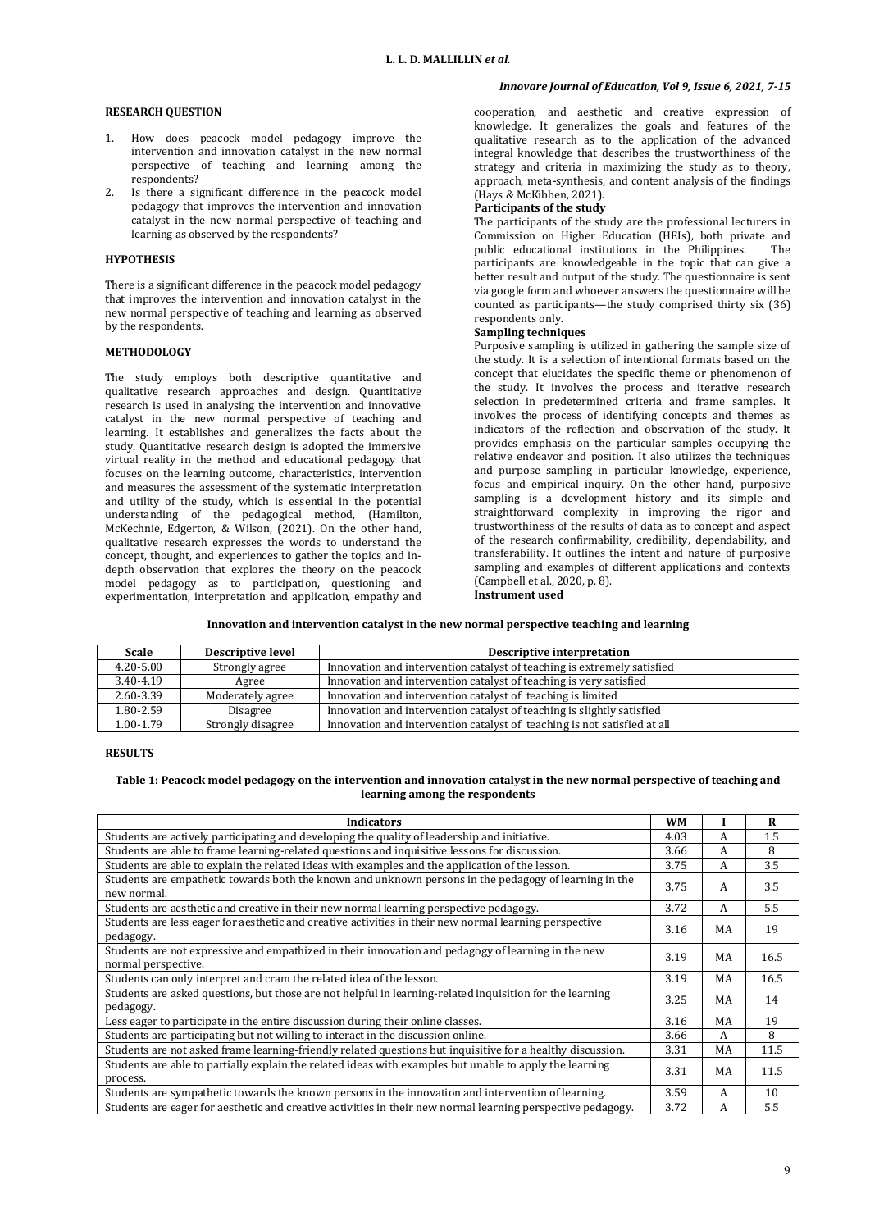# **RESEARCH QUESTION**

- 1. How does peacock model pedagogy improve the intervention and innovation catalyst in the new normal perspective of teaching and learning among the respondents?
- 2. Is there a significant difference in the peacock model pedagogy that improves the intervention and innovation catalyst in the new normal perspective of teaching and learning as observed by the respondents?

## **HYPOTHESIS**

There is a significant difference in the peacock model pedagogy that improves the intervention and innovation catalyst in the new normal perspective of teaching and learning as observed by the respondents.

#### **METHODOLOGY**

The study employs both descriptive quantitative and qualitative research approaches and design. Quantitative research is used in analysing the intervention and innovative catalyst in the new normal perspective of teaching and learning. It establishes and generalizes the facts about the study. Quantitative research design is adopted the immersive virtual reality in the method and educational pedagogy that focuses on the learning outcome, characteristics, intervention and measures the assessment of the systematic interpretation and utility of the study, which is essential in the potential understanding of the pedagogical method, (Hamilton, McKechnie, Edgerton, & Wilson, (2021). On the other hand, qualitative research expresses the words to understand the concept, thought, and experiences to gather the topics and indepth observation that explores the theory on the peacock model pedagogy as to participation, questioning and experimentation, interpretation and application, empathy and

# *Innovare Journal of Education, Vol 9, Issue 6, 2021, 7-15*

cooperation, and aesthetic and creative expression of knowledge. It generalizes the goals and features of the qualitative research as to the application of the advanced integral knowledge that describes the trustworthiness of the strategy and criteria in maximizing the study as to theory, approach, meta-synthesis, and content analysis of the findings (Hays & McKibben, 2021).

#### **Participants of the study**

The participants of the study are the professional lecturers in Commission on Higher Education (HEIs), both private and public educational institutions in the Philippines. The participants are knowledgeable in the topic that can give a better result and output of the study. The questionnaire is sent via google form and whoever answers the questionnaire will be counted as participants—the study comprised thirty six (36) respondents only.

# **Sampling techniques**

Purposive sampling is utilized in gathering the sample size of the study. It is a selection of intentional formats based on the concept that elucidates the specific theme or phenomenon of the study. It involves the process and iterative research selection in predetermined criteria and frame samples. It involves the process of identifying concepts and themes as indicators of the reflection and observation of the study. It provides emphasis on the particular samples occupying the relative endeavor and position. It also utilizes the techniques and purpose sampling in particular knowledge, experience, focus and empirical inquiry. On the other hand, purposive sampling is a development history and its simple and straightforward complexity in improving the rigor and trustworthiness of the results of data as to concept and aspect of the research confirmability, credibility, dependability, and transferability. It outlines the intent and nature of purposive sampling and examples of different applications and contexts (Campbell et al., 2020, p. 8).

**Instrument used**

#### **Innovation and intervention catalyst in the new normal perspective teaching and learning**

| <b>Scale</b>  | <b>Descriptive level</b> | Descriptive interpretation                                               |  |
|---------------|--------------------------|--------------------------------------------------------------------------|--|
| $4.20 - 5.00$ | Strongly agree           | Innovation and intervention catalyst of teaching is extremely satisfied  |  |
| 3.40-4.19     | Agree                    | Innovation and intervention catalyst of teaching is very satisfied       |  |
| 2.60-3.39     | Moderately agree         | Innovation and intervention catalyst of teaching is limited              |  |
| 1.80-2.59     | Disagree                 | Innovation and intervention catalyst of teaching is slightly satisfied   |  |
| $1.00 - 1.79$ | Strongly disagree        | Innovation and intervention catalyst of teaching is not satisfied at all |  |

# **RESULTS**

# **Table 1: Peacock model pedagogy on the intervention and innovation catalyst in the new normal perspective of teaching and learning among the respondents**

| <b>Indicators</b>                                                                                                         | WM   |    | R    |
|---------------------------------------------------------------------------------------------------------------------------|------|----|------|
| Students are actively participating and developing the quality of leadership and initiative.                              |      |    | 1.5  |
| Students are able to frame learning-related questions and inquisitive lessons for discussion.                             | 3.66 | A  | 8    |
| Students are able to explain the related ideas with examples and the application of the lesson.                           | 3.75 | A  | 3.5  |
| Students are empathetic towards both the known and unknown persons in the pedagogy of learning in the<br>new normal.      | 3.75 | A  | 3.5  |
| Students are aesthetic and creative in their new normal learning perspective pedagogy.                                    | 3.72 | A  | 5.5  |
| Students are less eager for aesthetic and creative activities in their new normal learning perspective<br>pedagogy.       | 3.16 | MA | 19   |
| Students are not expressive and empathized in their innovation and pedagogy of learning in the new<br>normal perspective. | 3.19 | MA | 16.5 |
| Students can only interpret and cram the related idea of the lesson.                                                      | 3.19 | MA | 16.5 |
| Students are asked questions, but those are not helpful in learning-related inquisition for the learning<br>pedagogy.     |      |    | 14   |
| Less eager to participate in the entire discussion during their online classes.                                           |      |    | 19   |
| Students are participating but not willing to interact in the discussion online.                                          |      |    | 8    |
| Students are not asked frame learning-friendly related questions but inquisitive for a healthy discussion.                |      |    | 11.5 |
| Students are able to partially explain the related ideas with examples but unable to apply the learning<br>process.       | 3.31 | MA | 11.5 |
| Students are sympathetic towards the known persons in the innovation and intervention of learning.                        | 3.59 | A  | 10   |
| Students are eager for aesthetic and creative activities in their new normal learning perspective pedagogy.               | 3.72 | A  | 5.5  |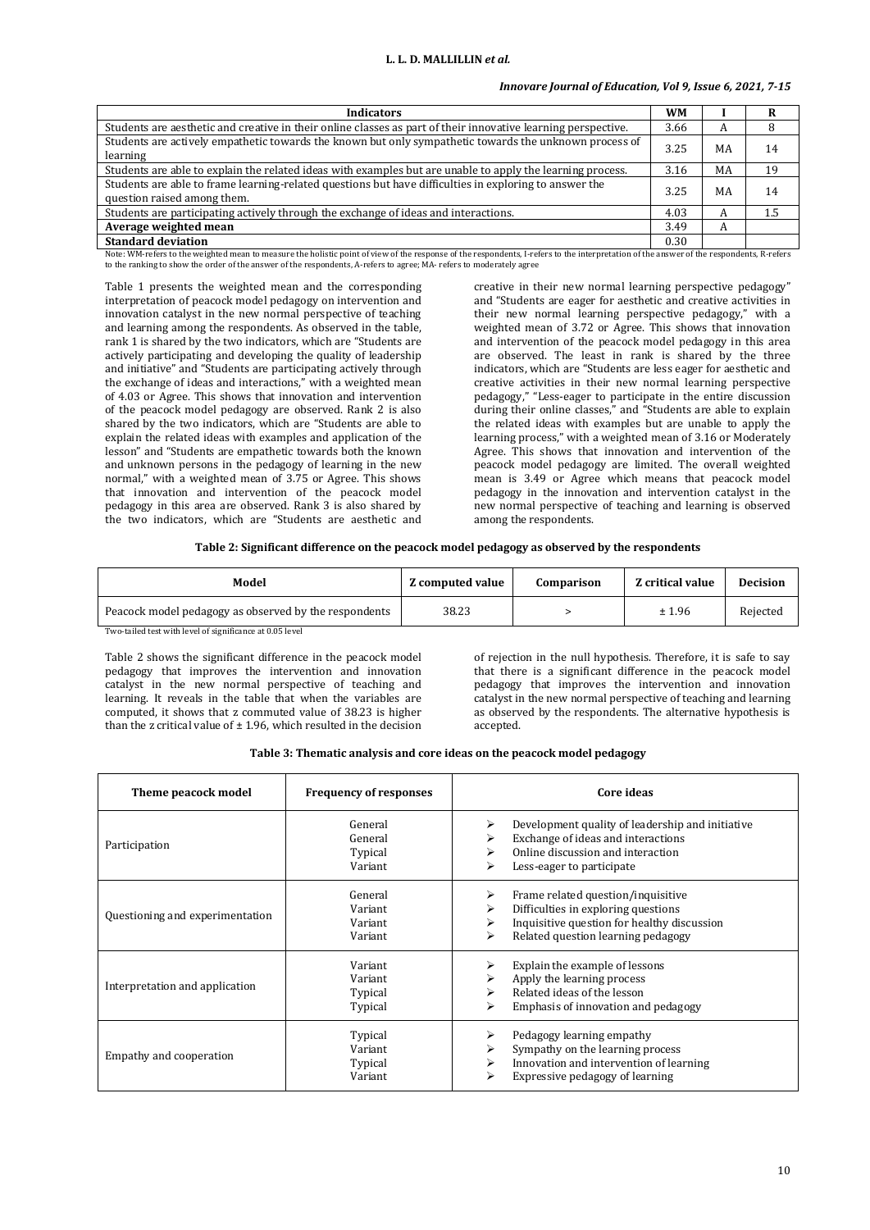# *Innovare Journal of Education, Vol 9, Issue 6, 2021, 7-15*

| <b>Indicators</b>                                                                                                                     | WM   |    |     |
|---------------------------------------------------------------------------------------------------------------------------------------|------|----|-----|
| Students are aesthetic and creative in their online classes as part of their innovative learning perspective.                         | 3.66 | A  |     |
| Students are actively empathetic towards the known but only sympathetic towards the unknown process of<br>learning                    | 3.25 | MA | 14  |
| Students are able to explain the related ideas with examples but are unable to apply the learning process.                            | 3.16 | MA | 19  |
| Students are able to frame learning-related questions but have difficulties in exploring to answer the<br>question raised among them. | 3.25 | MA | 14  |
| Students are participating actively through the exchange of ideas and interactions.                                                   | 4.03 | A  | 1.5 |
| Average weighted mean                                                                                                                 | 3.49 | A  |     |
| <b>Standard deviation</b>                                                                                                             | 0.30 |    |     |

Note: WM-refers to the weighted mean to measure the holistic point of view of the response of the respondents, I-refers to the interpretation of the answer of the respondents, R-refers to the ranking to show the order of the answer of the respondents, A-refers to agree; MA- refers to moderately agree

Table 1 presents the weighted mean and the corresponding interpretation of peacock model pedagogy on intervention and innovation catalyst in the new normal perspective of teaching and learning among the respondents. As observed in the table, rank 1 is shared by the two indicators, which are "Students are actively participating and developing the quality of leadership and initiative" and "Students are participating actively through the exchange of ideas and interactions," with a weighted mean of 4.03 or Agree. This shows that innovation and intervention of the peacock model pedagogy are observed. Rank 2 is also shared by the two indicators, which are "Students are able to explain the related ideas with examples and application of the lesson" and "Students are empathetic towards both the known and unknown persons in the pedagogy of learning in the new normal," with a weighted mean of 3.75 or Agree. This shows that innovation and intervention of the peacock model pedagogy in this area are observed. Rank 3 is also shared by the two indicators, which are "Students are aesthetic and

creative in their new normal learning perspective pedagogy" and "Students are eager for aesthetic and creative activities in their new normal learning perspective pedagogy," with a weighted mean of 3.72 or Agree. This shows that innovation and intervention of the peacock model pedagogy in this area are observed. The least in rank is shared by the three indicators, which are "Students are less eager for aesthetic and creative activities in their new normal learning perspective pedagogy," "Less-eager to participate in the entire discussion during their online classes," and "Students are able to explain the related ideas with examples but are unable to apply the learning process," with a weighted mean of 3.16 or Moderately Agree. This shows that innovation and intervention of the peacock model pedagogy are limited. The overall weighted mean is 3.49 or Agree which means that peacock model pedagogy in the innovation and intervention catalyst in the new normal perspective of teaching and learning is observed among the respondents.

| Table 2: Significant difference on the peacock model pedagogy as observed by the respondents |  |  |
|----------------------------------------------------------------------------------------------|--|--|
|                                                                                              |  |  |

| Model                                                    | <b>Z</b> computed value | Comparison | Z critical value | <b>Decision</b> |
|----------------------------------------------------------|-------------------------|------------|------------------|-----------------|
| Peacock model pedagogy as observed by the respondents    | 38.23                   |            | ± 1.96           | Rejected        |
| Two-tailed test with level of significance at 0.05 level |                         |            |                  |                 |

Table 2 shows the significant difference in the peacock model pedagogy that improves the intervention and innovation catalyst in the new normal perspective of teaching and learning. It reveals in the table that when the variables are computed, it shows that z commuted value of 38.23 is higher than the z critical value of  $\pm$  1.96, which resulted in the decision

of rejection in the null hypothesis. Therefore, it is safe to say that there is a significant difference in the peacock model pedagogy that improves the intervention and innovation catalyst in the new normal perspective of teaching and learning as observed by the respondents. The alternative hypothesis is accepted.

|  |  | Table 3: Thematic analysis and core ideas on the peacock model pedagogy |  |
|--|--|-------------------------------------------------------------------------|--|
|  |  |                                                                         |  |
|  |  |                                                                         |  |
|  |  |                                                                         |  |

| Theme peacock model             | <b>Frequency of responses</b>            | Core ideas                                                                                                                                                                    |
|---------------------------------|------------------------------------------|-------------------------------------------------------------------------------------------------------------------------------------------------------------------------------|
| Participation                   | General<br>General<br>Typical<br>Variant | Development quality of leadership and initiative<br>⋗<br>Exchange of ideas and interactions<br>Online discussion and interaction<br>⋗<br>Less-eager to participate            |
| Questioning and experimentation | General<br>Variant<br>Variant<br>Variant | Frame related question/inquisitive<br>⋗<br>Difficulties in exploring questions<br>⋗<br>Inquisitive question for healthy discussion<br>Related question learning pedagogy<br>⋗ |
| Interpretation and application  | Variant<br>Variant<br>Typical<br>Typical | Explain the example of lessons<br>⋗<br>Apply the learning process<br>Related ideas of the lesson<br>Emphasis of innovation and pedagogy<br>⋗                                  |
| Empathy and cooperation         | Typical<br>Variant<br>Typical<br>Variant | Pedagogy learning empathy<br>Sympathy on the learning process<br>Innovation and intervention of learning<br>Expressive pedagogy of learning                                   |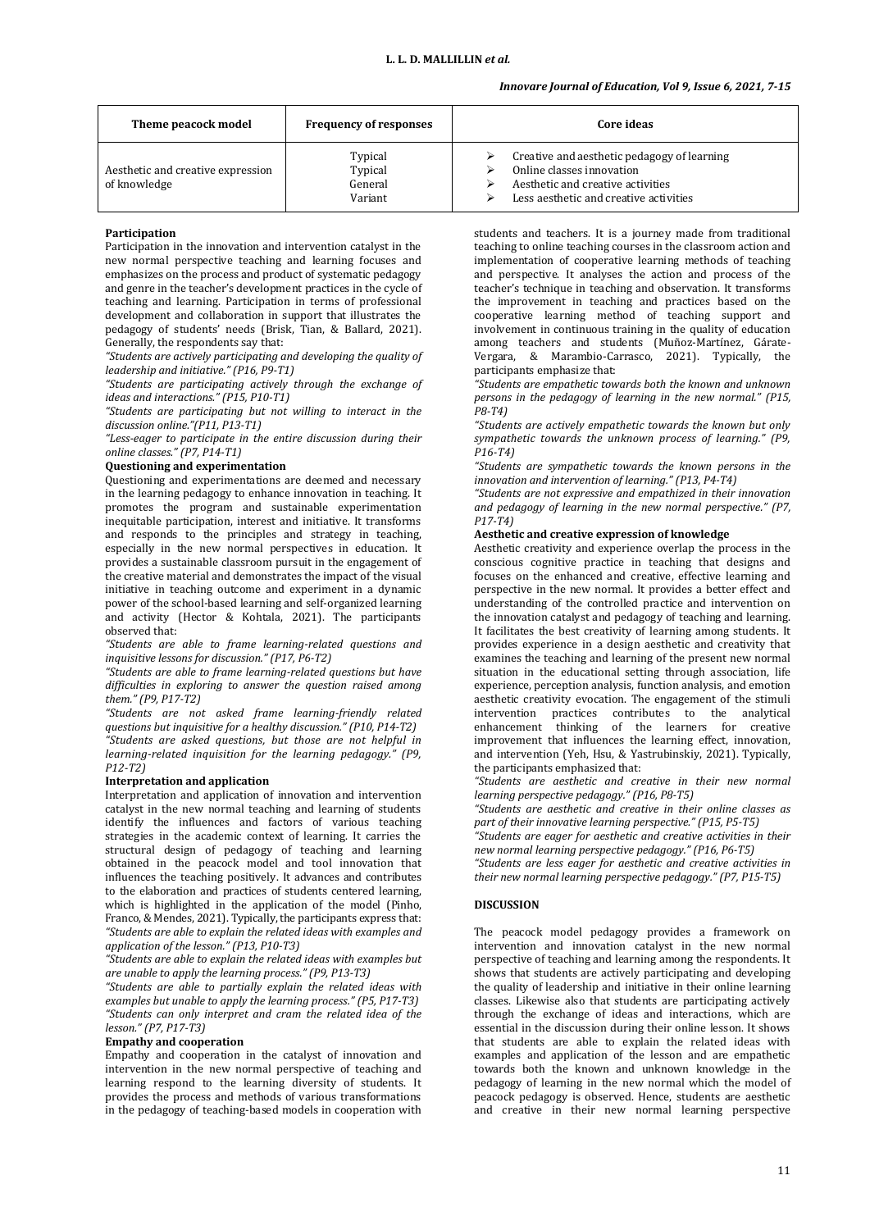# *Innovare Journal of Education, Vol 9, Issue 6, 2021, 7-15*

| Theme peacock model                               | <b>Frequency of responses</b>            | Core ideas                                                                                                                                              |
|---------------------------------------------------|------------------------------------------|---------------------------------------------------------------------------------------------------------------------------------------------------------|
| Aesthetic and creative expression<br>of knowledge | Typical<br>Typical<br>General<br>Variant | Creative and aesthetic pedagogy of learning<br>Online classes innovation<br>Aesthetic and creative activities<br>Less aesthetic and creative activities |

### **Participation**

Participation in the innovation and intervention catalyst in the new normal perspective teaching and learning focuses and emphasizes on the process and product of systematic pedagogy and genre in the teacher's development practices in the cycle of teaching and learning. Participation in terms of professional development and collaboration in support that illustrates the pedagogy of students' needs (Brisk, Tian, & Ballard, 2021). Generally, the respondents say that:

*"Students are actively participating and developing the quality of leadership and initiative." (P16, P9-T1)*

*"Students are participating actively through the exchange of ideas and interactions." (P15, P10-T1)*

*"Students are participating but not willing to interact in the discussion online."(P11, P13-T1)*

*"Less-eager to participate in the entire discussion during their online classes." (P7, P14-T1)*

#### **Questioning and experimentation**

Questioning and experimentations are deemed and necessary in the learning pedagogy to enhance innovation in teaching. It promotes the program and sustainable experimentation inequitable participation, interest and initiative. It transforms and responds to the principles and strategy in teaching, especially in the new normal perspectives in education. It provides a sustainable classroom pursuit in the engagement of the creative material and demonstrates the impact of the visual initiative in teaching outcome and experiment in a dynamic power of the school-based learning and self-organized learning and activity (Hector & Kohtala, 2021). The participants observed that:

*"Students are able to frame learning-related questions and inquisitive lessons for discussion." (P17, P6-T2)*

*"Students are able to frame learning-related questions but have difficulties in exploring to answer the question raised among them." (P9, P17-T2)*

*"Students are not asked frame learning-friendly related questions but inquisitive for a healthy discussion." (P10, P14-T2) "Students are asked questions, but those are not helpful in learning-related inquisition for the learning pedagogy." (P9, P12-T2)*

# **Interpretation and application**

Interpretation and application of innovation and intervention catalyst in the new normal teaching and learning of students identify the influences and factors of various teaching strategies in the academic context of learning. It carries the structural design of pedagogy of teaching and learning obtained in the peacock model and tool innovation that influences the teaching positively. It advances and contributes to the elaboration and practices of students centered learning, which is highlighted in the application of the model (Pinho, Franco, & Mendes, 2021). Typically, the participants express that: *"Students are able to explain the related ideas with examples and application of the lesson." (P13, P10-T3)*

*"Students are able to explain the related ideas with examples but are unable to apply the learning process." (P9, P13-T3)*

*"Students are able to partially explain the related ideas with examples but unable to apply the learning process." (P5, P17-T3) "Students can only interpret and cram the related idea of the lesson." (P7, P17-T3)*

### **Empathy and cooperation**

Empathy and cooperation in the catalyst of innovation and intervention in the new normal perspective of teaching and learning respond to the learning diversity of students. It provides the process and methods of various transformations in the pedagogy of teaching-based models in cooperation with

students and teachers. It is a journey made from traditional teaching to online teaching courses in the classroom action and implementation of cooperative learning methods of teaching and perspective. It analyses the action and process of the teacher's technique in teaching and observation. It transforms the improvement in teaching and practices based on the cooperative learning method of teaching support and involvement in continuous training in the quality of education among teachers and students (Muñoz-Martínez, Gárate-Vergara, & Marambio-Carrasco, 2021). Typically, the participants emphasize that:

*"Students are empathetic towards both the known and unknown persons in the pedagogy of learning in the new normal." (P15, P8-T4)*

*"Students are actively empathetic towards the known but only sympathetic towards the unknown process of learning." (P9, P16-T4)*

*"Students are sympathetic towards the known persons in the innovation and intervention of learning." (P13, P4-T4)*

*"Students are not expressive and empathized in their innovation and pedagogy of learning in the new normal perspective." (P7, P17-T4)*

# **Aesthetic and creative expression of knowledge**

Aesthetic creativity and experience overlap the process in the conscious cognitive practice in teaching that designs and focuses on the enhanced and creative, effective learning and perspective in the new normal. It provides a better effect and understanding of the controlled practice and intervention on the innovation catalyst and pedagogy of teaching and learning. It facilitates the best creativity of learning among students. It provides experience in a design aesthetic and creativity that examines the teaching and learning of the present new normal situation in the educational setting through association, life experience, perception analysis, function analysis, and emotion aesthetic creativity evocation. The engagement of the stimuli intervention practices contributes to the analytical enhancement thinking of the learners for creative improvement that influences the learning effect, innovation, and intervention (Yeh, Hsu, & Yastrubinskiy, 2021). Typically, the participants emphasized that:

*"Students are aesthetic and creative in their new normal learning perspective pedagogy." (P16, P8-T5)*

*"Students are aesthetic and creative in their online classes as part of their innovative learning perspective." (P15, P5-T5)*

*"Students are eager for aesthetic and creative activities in their new normal learning perspective pedagogy." (P16, P6-T5)*

*"Students are less eager for aesthetic and creative activities in their new normal learning perspective pedagogy." (P7, P15-T5)*

### **DISCUSSION**

The peacock model pedagogy provides a framework on intervention and innovation catalyst in the new normal perspective of teaching and learning among the respondents. It shows that students are actively participating and developing the quality of leadership and initiative in their online learning classes. Likewise also that students are participating actively through the exchange of ideas and interactions, which are essential in the discussion during their online lesson. It shows that students are able to explain the related ideas with examples and application of the lesson and are empathetic towards both the known and unknown knowledge in the pedagogy of learning in the new normal which the model of peacock pedagogy is observed. Hence, students are aesthetic and creative in their new normal learning perspective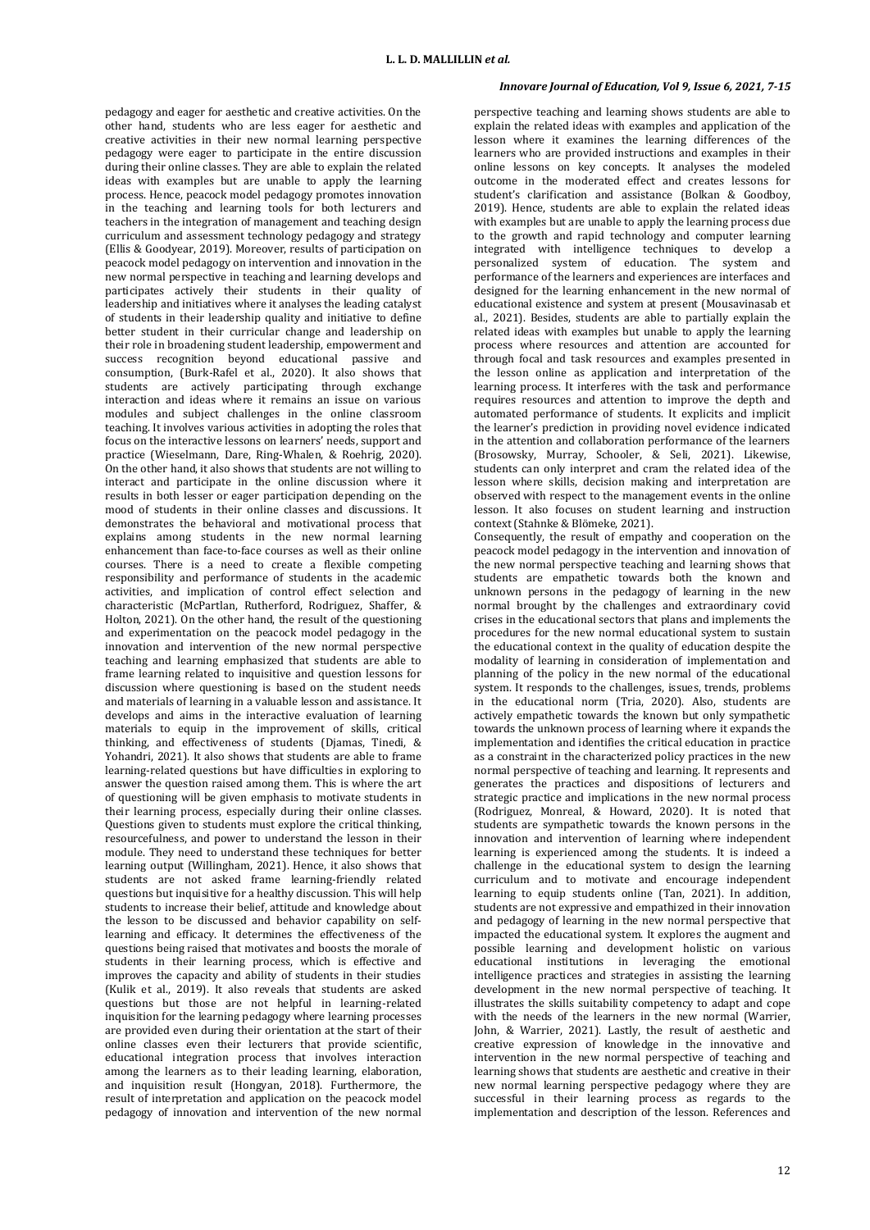pedagogy and eager for aesthetic and creative activities. On the other hand, students who are less eager for aesthetic and creative activities in their new normal learning perspective pedagogy were eager to participate in the entire discussion during their online classes. They are able to explain the related ideas with examples but are unable to apply the learning process. Hence, peacock model pedagogy promotes innovation in the teaching and learning tools for both lecturers and teachers in the integration of management and teaching design curriculum and assessment technology pedagogy and strategy (Ellis & Goodyear, 2019). Moreover, results of participation on peacock model pedagogy on intervention and innovation in the new normal perspective in teaching and learning develops and participates actively their students in their quality of leadership and initiatives where it analyses the leading catalyst of students in their leadership quality and initiative to define better student in their curricular change and leadership on their role in broadening student leadership, empowerment and success recognition beyond educational passive and consumption, (Burk-Rafel et al., 2020). It also shows that students are actively participating through exchange interaction and ideas where it remains an issue on various modules and subject challenges in the online classroom teaching. It involves various activities in adopting the roles that focus on the interactive lessons on learners' needs, support and practice (Wieselmann, Dare, Ring‐Whalen, & Roehrig, 2020). On the other hand, it also shows that students are not willing to interact and participate in the online discussion where it results in both lesser or eager participation depending on the mood of students in their online classes and discussions. It demonstrates the behavioral and motivational process that explains among students in the new normal learning enhancement than face-to-face courses as well as their online courses. There is a need to create a flexible competing responsibility and performance of students in the academic activities, and implication of control effect selection and characteristic (McPartlan, Rutherford, Rodriguez, Shaffer, & Holton, 2021). On the other hand, the result of the questioning and experimentation on the peacock model pedagogy in the innovation and intervention of the new normal perspective teaching and learning emphasized that students are able to frame learning related to inquisitive and question lessons for discussion where questioning is based on the student needs and materials of learning in a valuable lesson and assistance. It develops and aims in the interactive evaluation of learning materials to equip in the improvement of skills, critical thinking, and effectiveness of students (Djamas, Tinedi, & Yohandri, 2021). It also shows that students are able to frame learning-related questions but have difficulties in exploring to answer the question raised among them. This is where the art of questioning will be given emphasis to motivate students in their learning process, especially during their online classes. Questions given to students must explore the critical thinking, resourcefulness, and power to understand the lesson in their module. They need to understand these techniques for better learning output (Willingham, 2021). Hence, it also shows that students are not asked frame learning-friendly related questions but inquisitive for a healthy discussion. This will help students to increase their belief, attitude and knowledge about the lesson to be discussed and behavior capability on selflearning and efficacy. It determines the effectiveness of the questions being raised that motivates and boosts the morale of students in their learning process, which is effective and improves the capacity and ability of students in their studies (Kulik et al., 2019). It also reveals that students are asked questions but those are not helpful in learning-related inquisition for the learning pedagogy where learning processes are provided even during their orientation at the start of their online classes even their lecturers that provide scientific, educational integration process that involves interaction among the learners as to their leading learning, elaboration, and inquisition result (Hongyan, 2018). Furthermore, the result of interpretation and application on the peacock model pedagogy of innovation and intervention of the new normal

# *Innovare Journal of Education, Vol 9, Issue 6, 2021, 7-15*

perspective teaching and learning shows students are able to explain the related ideas with examples and application of the lesson where it examines the learning differences of the learners who are provided instructions and examples in their online lessons on key concepts. It analyses the modeled outcome in the moderated effect and creates lessons for student's clarification and assistance (Bolkan & Goodboy, 2019). Hence, students are able to explain the related ideas with examples but are unable to apply the learning process due to the growth and rapid technology and computer learning integrated with intelligence techniques to develop a personalized system of education. The system and performance of the learners and experiences are interfaces and designed for the learning enhancement in the new normal of educational existence and system at present (Mousavinasab et al., 2021). Besides, students are able to partially explain the related ideas with examples but unable to apply the learning process where resources and attention are accounted for through focal and task resources and examples presented in the lesson online as application and interpretation of the learning process. It interferes with the task and performance requires resources and attention to improve the depth and automated performance of students. It explicits and implicit the learner's prediction in providing novel evidence indicated in the attention and collaboration performance of the learners (Brosowsky, Murray, Schooler, & Seli, 2021). Likewise, students can only interpret and cram the related idea of the lesson where skills, decision making and interpretation are observed with respect to the management events in the online lesson. It also focuses on student learning and instruction context (Stahnke & Blömeke, 2021).

Consequently, the result of empathy and cooperation on the peacock model pedagogy in the intervention and innovation of the new normal perspective teaching and learning shows that students are empathetic towards both the known and unknown persons in the pedagogy of learning in the new normal brought by the challenges and extraordinary covid crises in the educational sectors that plans and implements the procedures for the new normal educational system to sustain the educational context in the quality of education despite the modality of learning in consideration of implementation and planning of the policy in the new normal of the educational system. It responds to the challenges, issues, trends, problems in the educational norm (Tria, 2020). Also, students are actively empathetic towards the known but only sympathetic towards the unknown process of learning where it expands the implementation and identifies the critical education in practice as a constraint in the characterized policy practices in the new normal perspective of teaching and learning. It represents and generates the practices and dispositions of lecturers and strategic practice and implications in the new normal process (Rodriguez, Monreal, & Howard, 2020). It is noted that students are sympathetic towards the known persons in the innovation and intervention of learning where independent learning is experienced among the students. It is indeed a challenge in the educational system to design the learning curriculum and to motivate and encourage independent learning to equip students online (Tan, 2021). In addition, students are not expressive and empathized in their innovation and pedagogy of learning in the new normal perspective that impacted the educational system. It explores the augment and possible learning and development holistic on various educational institutions in leveraging the emotional intelligence practices and strategies in assisting the learning development in the new normal perspective of teaching. It illustrates the skills suitability competency to adapt and cope with the needs of the learners in the new normal (Warrier, John, & Warrier, 2021). Lastly, the result of aesthetic and creative expression of knowledge in the innovative and intervention in the new normal perspective of teaching and learning shows that students are aesthetic and creative in their new normal learning perspective pedagogy where they are successful in their learning process as regards to the implementation and description of the lesson. References and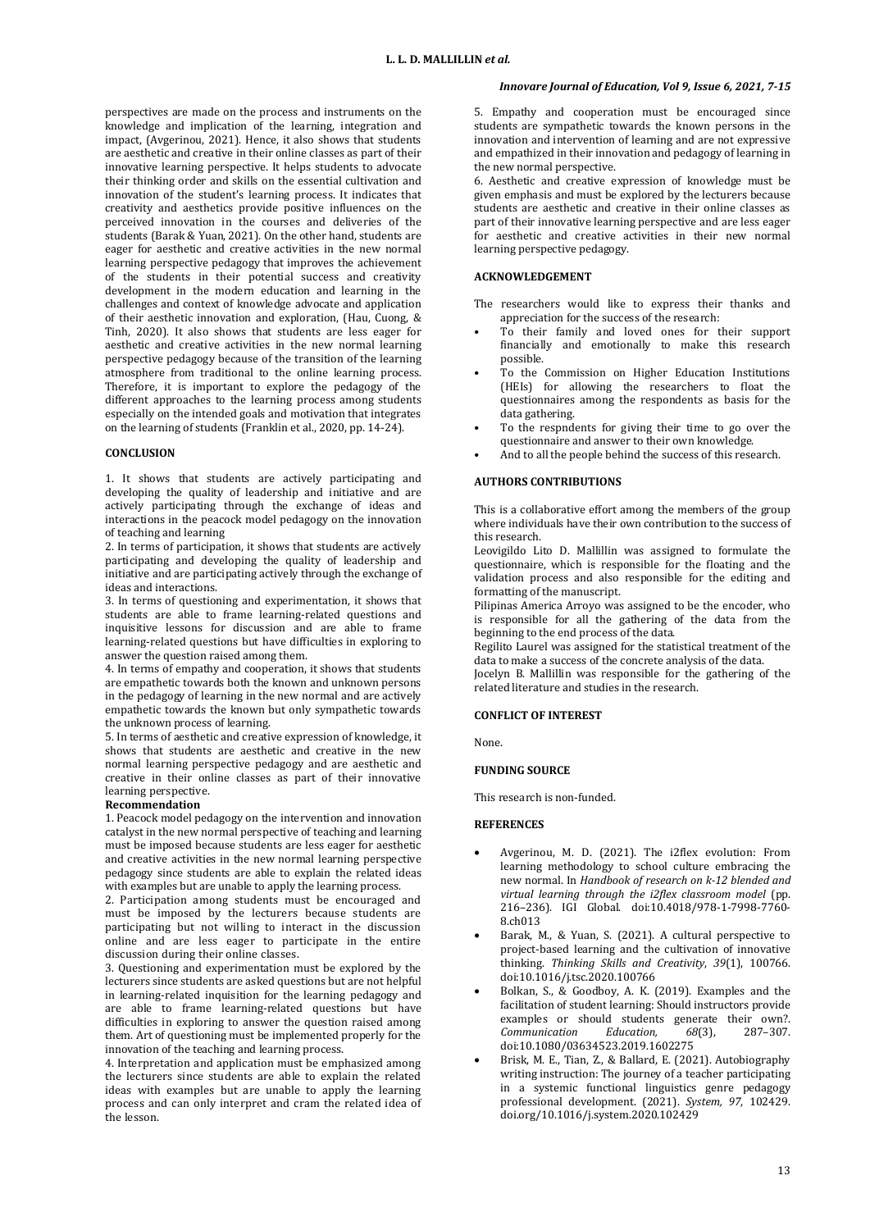perspectives are made on the process and instruments on the knowledge and implication of the learning, integration and impact, (Avgerinou, 2021). Hence, it also shows that students are aesthetic and creative in their online classes as part of their innovative learning perspective. It helps students to advocate their thinking order and skills on the essential cultivation and innovation of the student's learning process. It indicates that creativity and aesthetics provide positive influences on the perceived innovation in the courses and deliveries of the students (Barak & Yuan, 2021). On the other hand, students are eager for aesthetic and creative activities in the new normal learning perspective pedagogy that improves the achievement of the students in their potential success and creativity development in the modern education and learning in the challenges and context of knowledge advocate and application of their aesthetic innovation and exploration, (Hau, Cuong, & Tinh, 2020). It also shows that students are less eager for aesthetic and creative activities in the new normal learning perspective pedagogy because of the transition of the learning atmosphere from traditional to the online learning process. Therefore, it is important to explore the pedagogy of the different approaches to the learning process among students especially on the intended goals and motivation that integrates on the learning of students (Franklin et al., 2020, pp. 14-24).

#### **CONCLUSION**

1. It shows that students are actively participating and developing the quality of leadership and initiative and are actively participating through the exchange of ideas and interactions in the peacock model pedagogy on the innovation of teaching and learning

2. In terms of participation, it shows that students are actively participating and developing the quality of leadership and initiative and are participating actively through the exchange of ideas and interactions.

3. In terms of questioning and experimentation, it shows that students are able to frame learning-related questions and inquisitive lessons for discussion and are able to frame learning-related questions but have difficulties in exploring to answer the question raised among them.

4. In terms of empathy and cooperation, it shows that students are empathetic towards both the known and unknown persons in the pedagogy of learning in the new normal and are actively empathetic towards the known but only sympathetic towards the unknown process of learning.

5. In terms of aesthetic and creative expression of knowledge, it shows that students are aesthetic and creative in the new normal learning perspective pedagogy and are aesthetic and creative in their online classes as part of their innovative learning perspective.

# **Recommendation**

1. Peacock model pedagogy on the intervention and innovation catalyst in the new normal perspective of teaching and learning must be imposed because students are less eager for aesthetic and creative activities in the new normal learning perspective pedagogy since students are able to explain the related ideas with examples but are unable to apply the learning process.

2. Participation among students must be encouraged and must be imposed by the lecturers because students are participating but not willing to interact in the discussion online and are less eager to participate in the entire discussion during their online classes.

3. Questioning and experimentation must be explored by the lecturers since students are asked questions but are not helpful in learning-related inquisition for the learning pedagogy and are able to frame learning-related questions but have difficulties in exploring to answer the question raised among them. Art of questioning must be implemented properly for the innovation of the teaching and learning process.

4. Interpretation and application must be emphasized among the lecturers since students are able to explain the related ideas with examples but are unable to apply the learning process and can only interpret and cram the related idea of the lesson.

## *Innovare Journal of Education, Vol 9, Issue 6, 2021, 7-15*

5. Empathy and cooperation must be encouraged since students are sympathetic towards the known persons in the innovation and intervention of learning and are not expressive and empathized in their innovation and pedagogy of learning in the new normal perspective.

6. Aesthetic and creative expression of knowledge must be given emphasis and must be explored by the lecturers because students are aesthetic and creative in their online classes as part of their innovative learning perspective and are less eager for aesthetic and creative activities in their new normal learning perspective pedagogy.

### **ACKNOWLEDGEMENT**

The researchers would like to express their thanks and appreciation for the success of the research:

- To their family and loved ones for their support financially and emotionally to make this research possible.
- To the Commission on Higher Education Institutions (HEIs) for allowing the researchers to float the questionnaires among the respondents as basis for the data gathering.
- To the respndents for giving their time to go over the questionnaire and answer to their own knowledge.
- And to all the people behind the success of this research.

# **AUTHORS CONTRIBUTIONS**

This is a collaborative effort among the members of the group where individuals have their own contribution to the success of this research.

Leovigildo Lito D. Mallillin was assigned to formulate the questionnaire, which is responsible for the floating and the validation process and also responsible for the editing and formatting of the manuscript.

Pilipinas America Arroyo was assigned to be the encoder, who is responsible for all the gathering of the data from the beginning to the end process of the data.

Regilito Laurel was assigned for the statistical treatment of the data to make a success of the concrete analysis of the data.

Jocelyn B. Mallillin was responsible for the gathering of the related literature and studies in the research.

### **CONFLICT OF INTEREST**

None.

#### **FUNDING SOURCE**

This research is non-funded.

#### **REFERENCES**

- Avgerinou, M. D. (2021). The i2flex evolution: From learning methodology to school culture embracing the new normal. In *Handbook of research on k-12 blended and virtual learning through the i2flex classroom model* (pp. 216–236). IGI Global. [doi:10.4018/978-1-7998-7760-](https://www.igi-global.com/chapter/the-i2flex-evolution/275570) [8.ch013](https://www.igi-global.com/chapter/the-i2flex-evolution/275570)
- Barak, M., & Yuan, S. (2021). A cultural perspective to project-based learning and the cultivation of innovative thinking. *Thinking Skills and Creativity*, *39*(1), 100766. [doi:10.1016/j.tsc.2020.100766](https://www.researchgate.net/publication/347386375_A_cultural_perspective_to_project-based_learning_and_the_cultivation_of_innovative_thinking)
- Bolkan, S., & Goodboy, A. K. (2019). Examples and the facilitation of student learning: Should instructors provide examples or should students generate their own?. *Communication Education, 68*(3), 287–307. [doi:10.1080/03634523.2019.1602275](https://www.researchgate.net/publication/332771703_Examples_and_the_facilitation_of_student_learning_should_instructors_provide_examples_or_should_students_generate_their_own)
- Brisk, M. E., Tian, Z., & Ballard, E. (2021). Autobiography writing instruction: The journey of a teacher participating in a systemic functional linguistics genre pedagogy professional development. (2021). *System, 97*, 102429. [doi.org/10.1016/j.system.2020.102429](https://www.sciencedirect.com/science/article/abs/pii/S0346251X20307892)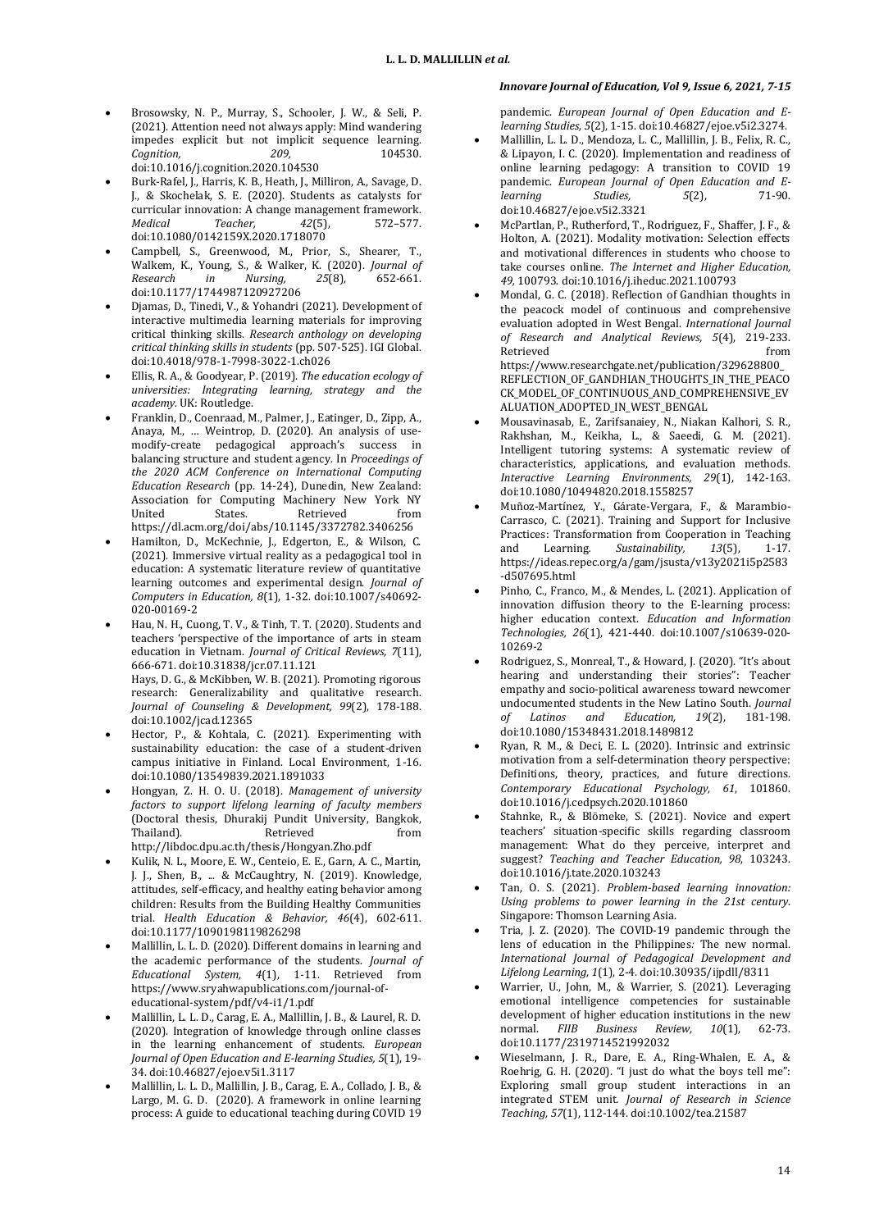- Brosowsky, N. P., Murray, S., Schooler, J. W., & Seli, P. (2021). Attention need not always apply: Mind wandering impedes explicit but not implicit sequence learning. *Cognition, 209,* 104530. [doi:10.1016/j.cognition.2020.104530](https://www.sciencedirect.com/science/article/abs/pii/S0010027720303498)
- Burk-Rafel, J., Harris, K. B., Heath, J., Milliron, A., Savage, D. J., & Skochelak, S. E. (2020). Students as catalysts for curricular innovation: A change management framework. *Medical Teacher, 42*(5), 572–577. [doi:10.1080/0142159X.2020.1718070](https://pubmed.ncbi.nlm.nih.gov/32017861/)
- Campbell, S., Greenwood, M., Prior, S., Shearer, T., Walkem, K., Young, S., & Walker, K. (2020). *Journal of Research in Nursing, 25*(8), 652-661. [doi:10.1177/1744987120927206](https://journals.sagepub.com/doi/abs/10.1177/1744987120927206)
- Djamas, D., Tinedi, V., & Yohandri (2021). Development of interactive multimedia learning materials for improving critical thinking skills. *Research anthology on developing critical thinking skills in students* (pp. 507-525). IGI Global. [doi:10.4018/978-1-7998-3022-1.ch026](https://www.igi-global.com/chapter/development-of-interactive-multimedia-learning-materials-for-improving-critical-thinking-skills/269904)
- Ellis, R. A., & Goodyear, P. (2019). *The education ecology of universities: Integrating learning, strategy and the academy.* UK: Routledge.
- Franklin, D., Coenraad, M., Palmer, J., Eatinger, D., Zipp, A., Anaya, M., … Weintrop, D. (2020). An analysis of usemodify-create pedagogical approach's success in balancing structure and student agency. In *Proceedings of the 2020 ACM Conference on International Computing Education Research* (pp. 14-24), Dunedin, New Zealand: Association for Computing Machinery New York NY United States. Retrieved from <https://dl.acm.org/doi/abs/10.1145/3372782.3406256>
- Hamilton, D., McKechnie, J., Edgerton, E., & Wilson, C. (2021). Immersive virtual reality as a pedagogical tool in education: A systematic literature review of quantitative learning outcomes and experimental design. *Journal of Computers in Education, 8*(1), 1-32. [doi:10.1007/s40692-](https://link.springer.com/article/10.1007/s40692-020-00169-2#citeas) [020-00169-2](https://link.springer.com/article/10.1007/s40692-020-00169-2#citeas)
- Hau, N. H., Cuong, T. V., & Tinh, T. T. (2020). Students and teachers 'perspective of the importance of arts in steam education in Vietnam. *Journal of Critical Reviews, 7*(11), 666-671[. doi:10.31838/jcr.07.11.121](http://www.jcreview.com/fulltext/197-1592981186.pdf) Hays, D. G., & McKibben, W. B. (2021). Promoting rigorous research: Generalizability and qualitative research. *Journal of Counseling & Development, 99*(2), 178-188.
- [doi:10.1002/jcad.12365](https://onlinelibrary.wiley.com/doi/abs/10.1002/jcad.12365) Hector, P., & Kohtala, C. (2021). Experimenting with sustainability education: the case of a student-driven campus initiative in Finland. Local Environment, 1-16. [doi:10.1080/13549839.2021.1891033](https://www.tandfonline.com/doi/full/10.1080/13549839.2021.1891033)
- Hongyan, Z. H. O. U. (2018). *Management of university factors to support lifelong learning of faculty members* (Doctoral thesis, Dhurakij Pundit University, Bangkok, Thailand). Retrieved from <http://libdoc.dpu.ac.th/thesis/Hongyan.Zho.pdf>
- Kulik, N. L., Moore, E. W., Centeio, E. E., Garn, A. C., Martin, J. J., Shen, B., ... & McCaughtry, N. (2019). Knowledge, attitudes, self-efficacy, and healthy eating behavior among children: Results from the Building Healthy Communities trial. *Health Education & Behavior, 46*(4), 602-611. [doi:10.1177/1090198119826298](https://pubmed.ncbi.nlm.nih.gov/30791715/)
- Mallillin, L. L. D. (2020). Different domains in learning and the academic performance of the students. *Journal of Educational System, 4*(1), 1-11. Retrieved from [https://www.sryahwapublications.com/journal-of](https://www.sryahwapublications.com/journal-of-educational-system/pdf/v4-i1/1.pdf)[educational-system/pdf/v4-i1/1.pdf](https://www.sryahwapublications.com/journal-of-educational-system/pdf/v4-i1/1.pdf)
- Mallillin, L. L. D., Carag, E. A., Mallillin, J. B., & Laurel, R. D. (2020). Integration of knowledge through online classes in the learning enhancement of students. *European Journal of Open Education and E-learning Studies, 5*(1), 19- 34[. doi:10.46827/ejoe.v5i1.3117](https://oapub.org/edu/index.php/ejoe/article/view/3117)
- Mallillin, L. L. D., Mallillin, J. B., Carag, E. A., Collado, J. B., & Largo, M. G. D. (2020). A framework in online learning process: A guide to educational teaching during COVID 19

# *Innovare Journal of Education, Vol 9, Issue 6, 2021, 7-15*

pandemic. *European Journal of Open Education and Elearning Studies, 5*(2), 1-15[. doi:10.46827/ejoe.v5i2.3274.](https://oapub.org/edu/index.php/ejoe/article/view/3274/5910)

- Mallillin, L. L. D., Mendoza, L. C., Mallillin, J. B., Felix, R. C., & Lipayon, I. C. (2020). Implementation and readiness of online learning pedagogy: A transition to COVID 19 pandemic. *European Journal of Open Education and Elearning Studies, 5*(2), 71-90. [doi:10.46827/ejoe.v5i2.3321](https://oapub.org/edu/index.php/ejoe/article/view/3321/5957)
- McPartlan, P., Rutherford, T., Rodriguez, F., Shaffer, J. F., & Holton, A. (2021). Modality motivation: Selection effects and motivational differences in students who choose to take courses online. *The Internet and Higher Education, 49,* 100793[. doi:10.1016/j.iheduc.2021.100793](https://www.sciencedirect.com/science/article/abs/pii/S1096751621000026)
- Mondal, G. C. (2018). Reflection of Gandhian thoughts in the peacock model of continuous and comprehensive evaluation adopted in West Bengal. *International Journal of Research and Analytical Reviews, 5*(4), 219-233. Retrieved **from** [https://www.researchgate.net/publication/329628800\\_](https://www.researchgate.net/publication/329628800_REFLECTION_OF_GANDHIAN_THOUGHTS_IN_THE_PEACOCK_MODEL_OF_CONTINUOUS_AND_COMPREHENSIVE_EVALUATION_ADOPTED_IN_WEST_BENGAL) REFLECTION OF GANDHIAN THOUGHTS IN THE PEACO [CK\\_MODEL\\_OF\\_CONTINUOUS\\_AND\\_COMPREHENSIVE\\_EV](https://www.researchgate.net/publication/329628800_REFLECTION_OF_GANDHIAN_THOUGHTS_IN_THE_PEACOCK_MODEL_OF_CONTINUOUS_AND_COMPREHENSIVE_EVALUATION_ADOPTED_IN_WEST_BENGAL) [ALUATION\\_ADOPTED\\_IN\\_WEST\\_BENGAL](https://www.researchgate.net/publication/329628800_REFLECTION_OF_GANDHIAN_THOUGHTS_IN_THE_PEACOCK_MODEL_OF_CONTINUOUS_AND_COMPREHENSIVE_EVALUATION_ADOPTED_IN_WEST_BENGAL)
- Mousavinasab, E., Zarifsanaiey, N., Niakan Kalhori, S. R., Rakhshan, M., Keikha, L., & Saeedi, G. M. (2021). Intelligent tutoring systems: A systematic review of characteristics, applications, and evaluation methods. *Interactive Learning Environments, 29*(1), 142-163. [doi:10.1080/10494820.2018.1558257](https://www.tandfonline.com/doi/abs/10.1080/10494820.2018.1558257?journalCode=nile20)
- Muñoz-Martínez, Y., Gárate-Vergara, F., & Marambio-Carrasco, C. (2021). Training and Support for Inclusive Practices: Transformation from Cooperation in Teaching and Learning*. Sustainability, 13*(5), 1-17. [https://ideas.repec.org/a/gam/jsusta/v13y2021i5p2583](https://ideas.repec.org/a/gam/jsusta/v13y2021i5p2583-d507695.html) [-d507695.html](https://ideas.repec.org/a/gam/jsusta/v13y2021i5p2583-d507695.html)
- Pinho, C., Franco, M., & Mendes, L. (2021). Application of innovation diffusion theory to the E-learning process: higher education context. *Education and Information Technologies, 26*(1), 421-440. [doi:10.1007/s10639-020-](https://link.springer.com/article/10.1007/s10639-020-10269-2#citeas) [10269-2](https://link.springer.com/article/10.1007/s10639-020-10269-2#citeas)
- Rodriguez, S., Monreal, T., & Howard, J. (2020). "It's about hearing and understanding their stories": Teacher empathy and socio-political awareness toward newcomer undocumented students in the New Latino South*. Journal of Latinos and Education, 19*(2), 181-198. [doi:10.1080/15348431.2018.1489812](https://www.tandfonline.com/doi/abs/10.1080/15348431.2018.1489812)
- Ryan, R. M., & Deci, E. L. (2020). Intrinsic and extrinsic motivation from a self-determination theory perspective: Definitions, theory, practices, and future directions. *Contemporary Educational Psychology, 61*, 101860. [doi:10.1016/j.cedpsych.2020.101860](https://www.sciencedirect.com/science/article/abs/pii/S0361476X20300254)
- Stahnke, R., & Blömeke, S. (2021). Novice and expert teachers' situation-specific skills regarding classroom management: What do they perceive, interpret and suggest? *Teaching and Teacher Education, 98*, 103243. [doi:10.1016/j.tate.2020.103243](https://www.sciencedirect.com/science/article/abs/pii/S0742051X20314347)
- Tan, O. S. (2021). *Problem-based learning innovation: Using problems to power learning in the 21st century*. Singapore: Thomson Learning Asia.
- Tria, J. Z. (2020). The COVID-19 pandemic through the lens of education in the Philippines*:* The new normal. *International Journal of Pedagogical Development and Lifelong Learning, 1*(1), 2-4[. doi:10.30935/ijpdll/8311](https://www.ijpdll.com/article/the-covid-19-pandemic-through-the-lens-of-education-in-the-philippines-the-new-normal-8311)
- Warrier, U., John, M., & Warrier, S. (2021). Leveraging emotional intelligence competencies for sustainable development of higher education institutions in the new normal. *FIIB Business Review, 10*(1), 62-73. [doi:10.1177/2319714521992032](https://journals.sagepub.com/doi/abs/10.1177/2319714521992032)
- Wieselmann, J. R., Dare, E. A., Ring‐Whalen, E. A., & Roehrig, G. H. (2020). "I just do what the boys tell me": Exploring small group student interactions in an integrated STEM unit*. Journal of Research in Science Teaching, 57*(1), 112-144[. doi:10.1002/tea.21587](https://onlinelibrary.wiley.com/doi/abs/10.1002/tea.21587)